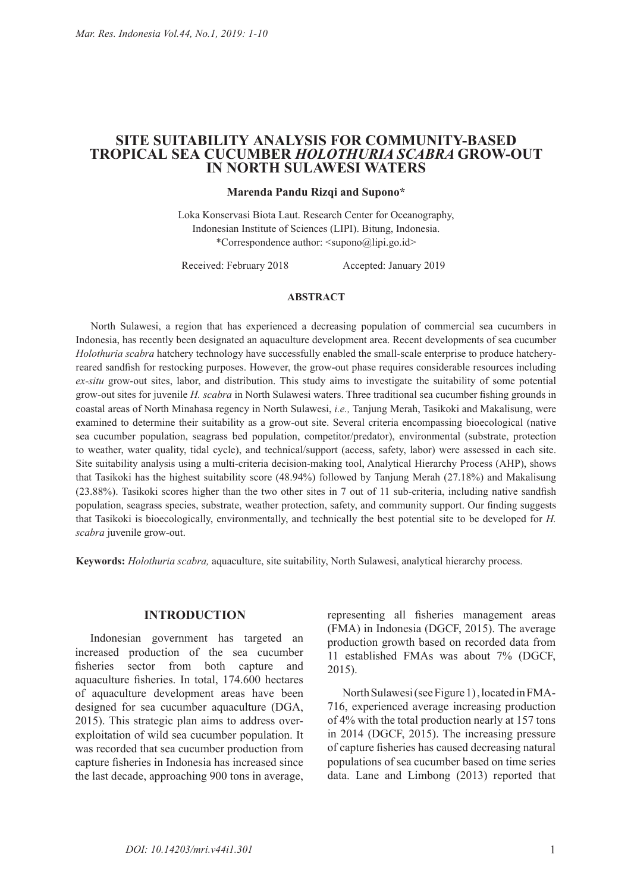# **SITE SUITABILITY ANALYSIS FOR COMMUNITY-BASED TROPICAL SEA CUCUMBER** *HOLOTHURIA SCABRA* **GROW-OUT IN NORTH SULAWESI WATERS**

## **Marenda Pandu Rizqi and Supono\***

Loka Konservasi Biota Laut. Research Center for Oceanography, Indonesian Institute of Sciences (LIPI). Bitung, Indonesia. \*Correspondence author: <supono@lipi.go.id>

Received: February 2018 Accepted: January 2019

### **ABSTRACT**

North Sulawesi, a region that has experienced a decreasing population of commercial sea cucumbers in Indonesia, has recently been designated an aquaculture development area. Recent developments of sea cucumber *Holothuria scabra* hatchery technology have successfully enabled the small-scale enterprise to produce hatcheryreared sandfish for restocking purposes. However, the grow-out phase requires considerable resources including *ex-situ* grow-out sites, labor, and distribution. This study aims to investigate the suitability of some potential grow-out sites for juvenile *H. scabra* in North Sulawesi waters. Three traditional sea cucumber fishing grounds in coastal areas of North Minahasa regency in North Sulawesi, *i.e.,* Tanjung Merah, Tasikoki and Makalisung, were examined to determine their suitability as a grow-out site. Several criteria encompassing bioecological (native sea cucumber population, seagrass bed population, competitor/predator), environmental (substrate, protection to weather, water quality, tidal cycle), and technical/support (access, safety, labor) were assessed in each site. Site suitability analysis using a multi-criteria decision-making tool, Analytical Hierarchy Process (AHP), shows that Tasikoki has the highest suitability score (48.94%) followed by Tanjung Merah (27.18%) and Makalisung (23.88%). Tasikoki scores higher than the two other sites in 7 out of 11 sub-criteria, including native sandfish population, seagrass species, substrate, weather protection, safety, and community support. Our finding suggests that Tasikoki is bioecologically, environmentally, and technically the best potential site to be developed for *H. scabra* juvenile grow-out.

**Keywords:** *Holothuria scabra,* aquaculture, site suitability, North Sulawesi, analytical hierarchy process.

### **INTRODUCTION**

Indonesian government has targeted an increased production of the sea cucumber fisheries sector from both capture and aquaculture fisheries. In total, 174.600 hectares of aquaculture development areas have been designed for sea cucumber aquaculture (DGA, 2015). This strategic plan aims to address overexploitation of wild sea cucumber population. It was recorded that sea cucumber production from capture fisheries in Indonesia has increased since the last decade, approaching 900 tons in average,

representing all fisheries management areas (FMA) in Indonesia (DGCF, 2015). The average production growth based on recorded data from 11 established FMAs was about 7% (DGCF, 2015).

North Sulawesi (see Figure 1) , located in FMA-716, experienced average increasing production of 4% with the total production nearly at 157 tons in 2014 (DGCF, 2015). The increasing pressure of capture fisheries has caused decreasing natural populations of sea cucumber based on time series data. Lane and Limbong (2013) reported that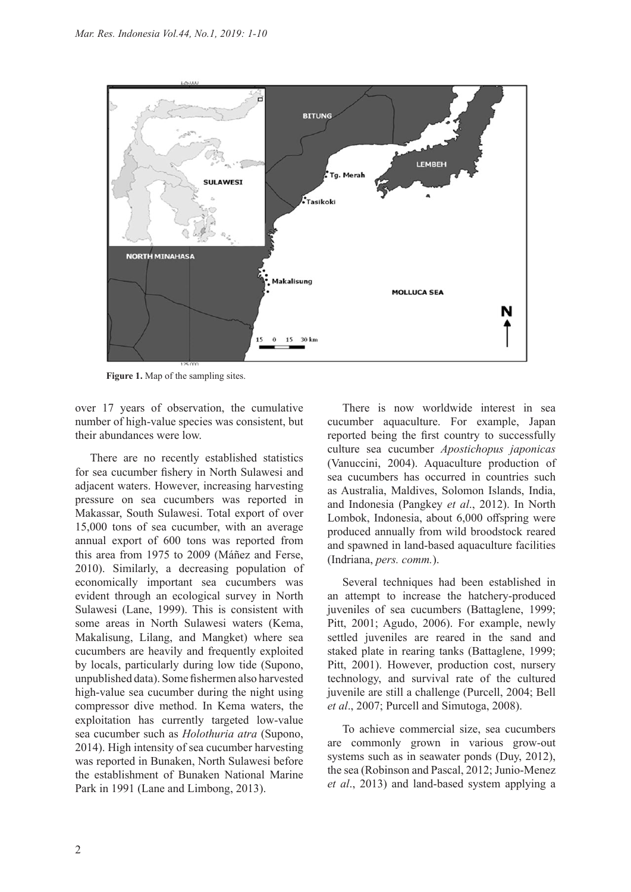

**Figure 1.** Map of the sampling sites.

over 17 years of observation, the cumulative number of high-value species was consistent, but their abundances were low.

There are no recently established statistics for sea cucumber fishery in North Sulawesi and adjacent waters. However, increasing harvesting pressure on sea cucumbers was reported in Makassar, South Sulawesi. Total export of over 15,000 tons of sea cucumber, with an average annual export of 600 tons was reported from this area from 1975 to 2009 (Máñez and Ferse, 2010). Similarly, a decreasing population of economically important sea cucumbers was evident through an ecological survey in North Sulawesi (Lane, 1999). This is consistent with some areas in North Sulawesi waters (Kema, Makalisung, Lilang, and Mangket) where sea cucumbers are heavily and frequently exploited by locals, particularly during low tide (Supono, unpublished data). Some fishermen also harvested high-value sea cucumber during the night using compressor dive method. In Kema waters, the exploitation has currently targeted low-value sea cucumber such as *Holothuria atra* (Supono, 2014). High intensity of sea cucumber harvesting was reported in Bunaken, North Sulawesi before the establishment of Bunaken National Marine Park in 1991 (Lane and Limbong, 2013).

There is now worldwide interest in sea cucumber aquaculture. For example, Japan reported being the first country to successfully culture sea cucumber *Apostichopus japonicas*  (Vanuccini, 2004). Aquaculture production of sea cucumbers has occurred in countries such as Australia, Maldives, Solomon Islands, India, and Indonesia (Pangkey *et al*., 2012). In North Lombok, Indonesia, about 6,000 offspring were produced annually from wild broodstock reared and spawned in land-based aquaculture facilities (Indriana, *pers. comm.*).

Several techniques had been established in an attempt to increase the hatchery-produced juveniles of sea cucumbers (Battaglene, 1999; Pitt, 2001; Agudo, 2006). For example, newly settled juveniles are reared in the sand and staked plate in rearing tanks (Battaglene, 1999; Pitt, 2001). However, production cost, nursery technology, and survival rate of the cultured juvenile are still a challenge (Purcell, 2004; Bell *et al*., 2007; Purcell and Simutoga, 2008).

To achieve commercial size, sea cucumbers are commonly grown in various grow-out systems such as in seawater ponds (Duy, 2012), the sea (Robinson and Pascal, 2012; Junio-Menez *et al*., 2013) and land-based system applying a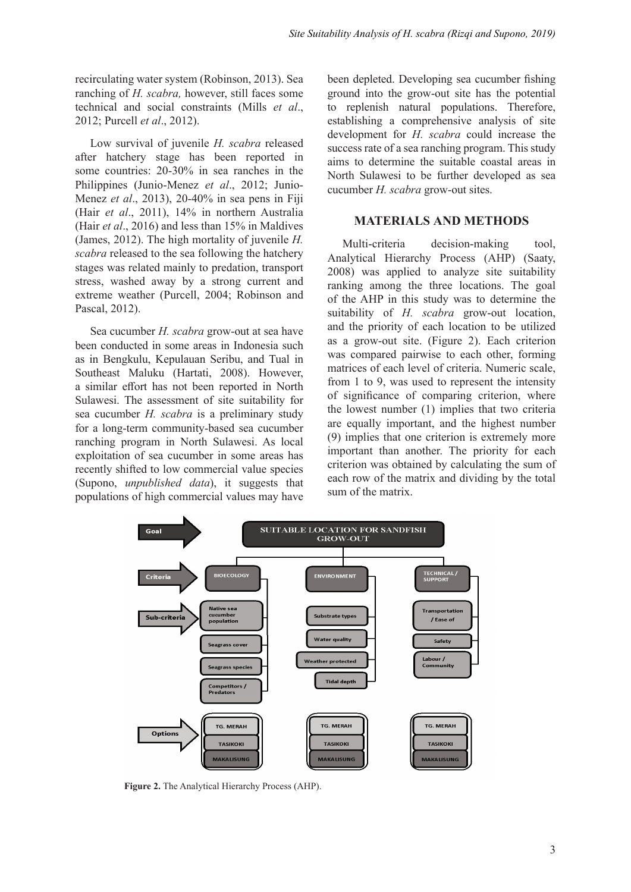recirculating water system (Robinson, 2013). Sea ranching of *H. scabra,* however, still faces some technical and social constraints (Mills *et al*., 2012; Purcell *et al*., 2012).

Low survival of juvenile *H. scabra* released after hatchery stage has been reported in some countries: 20-30% in sea ranches in the Philippines (Junio-Menez *et al*., 2012; Junio-Menez *et al*., 2013), 20-40% in sea pens in Fiji (Hair *et al*., 2011), 14% in northern Australia (Hair *et al*., 2016) and less than 15% in Maldives (James, 2012). The high mortality of juvenile *H. scabra* released to the sea following the hatchery stages was related mainly to predation, transport stress, washed away by a strong current and extreme weather (Purcell, 2004; Robinson and Pascal, 2012).

Sea cucumber *H. scabra* grow-out at sea have been conducted in some areas in Indonesia such as in Bengkulu, Kepulauan Seribu, and Tual in Southeast Maluku (Hartati, 2008). However, a similar effort has not been reported in North Sulawesi. The assessment of site suitability for sea cucumber *H. scabra* is a preliminary study for a long-term community-based sea cucumber ranching program in North Sulawesi. As local exploitation of sea cucumber in some areas has recently shifted to low commercial value species (Supono, *unpublished data*), it suggests that populations of high commercial values may have

been depleted. Developing sea cucumber fishing ground into the grow-out site has the potential to replenish natural populations. Therefore, establishing a comprehensive analysis of site development for *H. scabra* could increase the success rate of a sea ranching program. This study aims to determine the suitable coastal areas in North Sulawesi to be further developed as sea cucumber *H. scabra* grow-out sites.

## **MATERIALS AND METHODS**

Multi-criteria decision-making tool, Analytical Hierarchy Process (AHP) (Saaty, 2008) was applied to analyze site suitability ranking among the three locations. The goal of the AHP in this study was to determine the suitability of *H. scabra* grow-out location, and the priority of each location to be utilized as a grow-out site. (Figure 2). Each criterion was compared pairwise to each other, forming matrices of each level of criteria. Numeric scale, from 1 to 9, was used to represent the intensity of significance of comparing criterion, where the lowest number (1) implies that two criteria are equally important, and the highest number (9) implies that one criterion is extremely more important than another. The priority for each criterion was obtained by calculating the sum of each row of the matrix and dividing by the total sum of the matrix.



**Figure 2.** The Analytical Hierarchy Process (AHP).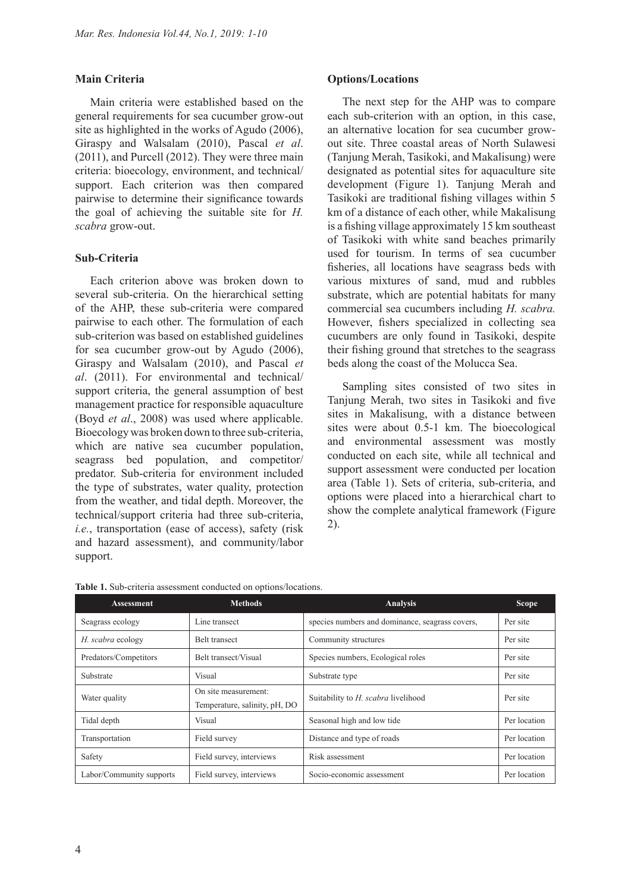## **Main Criteria**

Main criteria were established based on the general requirements for sea cucumber grow-out site as highlighted in the works of Agudo (2006), Giraspy and Walsalam (2010), Pascal *et al*. (2011), and Purcell (2012). They were three main criteria: bioecology, environment, and technical/ support. Each criterion was then compared pairwise to determine their significance towards the goal of achieving the suitable site for *H. scabra* grow-out.

### **Sub-Criteria**

Each criterion above was broken down to several sub-criteria. On the hierarchical setting of the AHP, these sub-criteria were compared pairwise to each other. The formulation of each sub-criterion was based on established guidelines for sea cucumber grow-out by Agudo (2006), Giraspy and Walsalam (2010), and Pascal *et al*. (2011). For environmental and technical/ support criteria, the general assumption of best management practice for responsible aquaculture (Boyd *et al*., 2008) was used where applicable. Bioecology was broken down to three sub-criteria, which are native sea cucumber population, seagrass bed population, and competitor/ predator. Sub-criteria for environment included the type of substrates, water quality, protection from the weather, and tidal depth. Moreover, the technical/support criteria had three sub-criteria, *i.e.*, transportation (ease of access), safety (risk and hazard assessment), and community/labor support.

### **Options/Locations**

The next step for the AHP was to compare each sub-criterion with an option, in this case, an alternative location for sea cucumber growout site. Three coastal areas of North Sulawesi (Tanjung Merah, Tasikoki, and Makalisung) were designated as potential sites for aquaculture site development (Figure 1). Tanjung Merah and Tasikoki are traditional fishing villages within 5 km of a distance of each other, while Makalisung is a fishing village approximately 15 km southeast of Tasikoki with white sand beaches primarily used for tourism. In terms of sea cucumber fisheries, all locations have seagrass beds with various mixtures of sand, mud and rubbles substrate, which are potential habitats for many commercial sea cucumbers including *H. scabra.* However, fishers specialized in collecting sea cucumbers are only found in Tasikoki, despite their fishing ground that stretches to the seagrass beds along the coast of the Molucca Sea.

Sampling sites consisted of two sites in Tanjung Merah, two sites in Tasikoki and five sites in Makalisung, with a distance between sites were about 0.5-1 km. The bioecological and environmental assessment was mostly conducted on each site, while all technical and support assessment were conducted per location area (Table 1). Sets of criteria, sub-criteria, and options were placed into a hierarchical chart to show the complete analytical framework (Figure 2).

| <b>Assessment</b>        | <b>Methods</b>                                        | <b>Analysis</b>                                 | <b>Scope</b> |
|--------------------------|-------------------------------------------------------|-------------------------------------------------|--------------|
| Seagrass ecology         | Line transect                                         | species numbers and dominance, seagrass covers, | Per site     |
| H. scabra ecology        | <b>Belt transect</b>                                  | Community structures                            | Per site     |
| Predators/Competitors    | Belt transect/Visual                                  | Species numbers, Ecological roles               | Per site     |
| Substrate                | Visual                                                | Substrate type                                  | Per site     |
| Water quality            | On site measurement:<br>Temperature, salinity, pH, DO | Suitability to H. scabra livelihood             | Per site     |
| Tidal depth              | Visual                                                | Seasonal high and low tide                      | Per location |
| Transportation           | Field survey                                          | Distance and type of roads                      | Per location |
| Safety                   | Field survey, interviews                              | Risk assessment                                 | Per location |
| Labor/Community supports | Field survey, interviews                              | Socio-economic assessment                       | Per location |

**Table 1.** Sub-criteria assessment conducted on options/locations.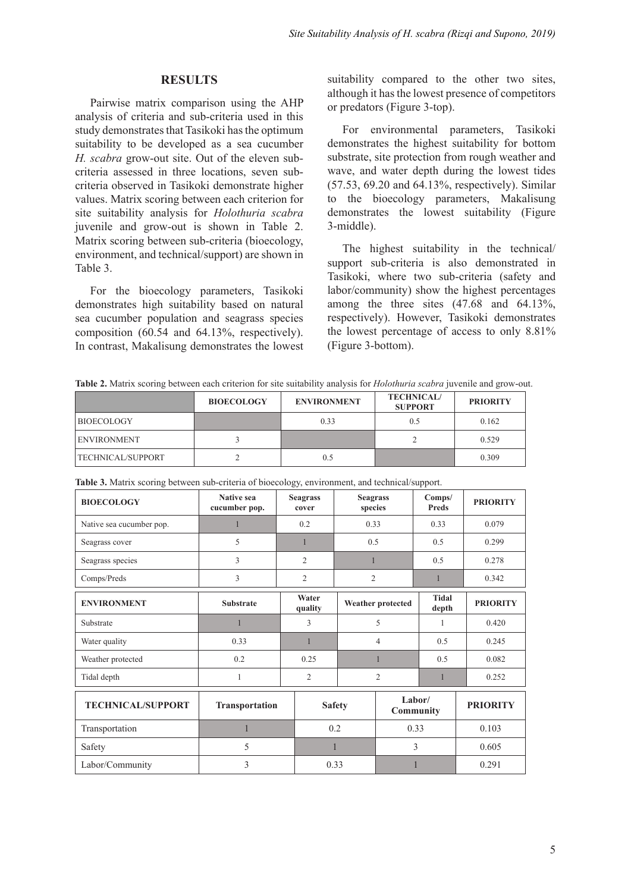## **RESULTS**

Pairwise matrix comparison using the AHP analysis of criteria and sub-criteria used in this study demonstrates that Tasikoki has the optimum suitability to be developed as a sea cucumber *H. scabra* grow-out site. Out of the eleven subcriteria assessed in three locations, seven subcriteria observed in Tasikoki demonstrate higher values. Matrix scoring between each criterion for site suitability analysis for *Holothuria scabra* juvenile and grow-out is shown in Table 2. Matrix scoring between sub-criteria (bioecology, environment, and technical/support) are shown in Table 3.

For the bioecology parameters, Tasikoki demonstrates high suitability based on natural sea cucumber population and seagrass species composition (60.54 and 64.13%, respectively). In contrast, Makalisung demonstrates the lowest suitability compared to the other two sites, although it has the lowest presence of competitors or predators (Figure 3-top).

For environmental parameters, Tasikoki demonstrates the highest suitability for bottom substrate, site protection from rough weather and wave, and water depth during the lowest tides (57.53, 69.20 and 64.13%, respectively). Similar to the bioecology parameters, Makalisung demonstrates the lowest suitability (Figure 3-middle).

The highest suitability in the technical/ support sub-criteria is also demonstrated in Tasikoki, where two sub-criteria (safety and labor/community) show the highest percentages among the three sites (47.68 and 64.13%, respectively). However, Tasikoki demonstrates the lowest percentage of access to only 8.81% (Figure 3-bottom).

**Table 2.** Matrix scoring between each criterion for site suitability analysis for *Holothuria scabra* juvenile and grow-out.

|                          | <b>BIOECOLOGY</b> | <b>ENVIRONMENT</b> | <b>TECHNICAL/</b><br><b>SUPPORT</b> | <b>PRIORITY</b> |
|--------------------------|-------------------|--------------------|-------------------------------------|-----------------|
| <b>BIOECOLOGY</b>        |                   | 0.33               | 0.5                                 | 0.162           |
| <b>ENVIRONMENT</b>       |                   |                    |                                     | 0.529           |
| <b>TECHNICAL/SUPPORT</b> |                   | 0.5                |                                     | 0.309           |

| <b>BIOECOLOGY</b>        | Native sea<br>cucumber pop. | <b>Seagrass</b><br>cover | <b>Seagrass</b><br>species |                            | Comps/<br><b>Preds</b> | <b>PRIORITY</b> |
|--------------------------|-----------------------------|--------------------------|----------------------------|----------------------------|------------------------|-----------------|
| Native sea cucumber pop. |                             | 0.2                      | 0.33                       |                            | 0.33                   | 0.079           |
| Seagrass cover           | 5                           | 1                        |                            | 0.5                        |                        | 0.299           |
| Seagrass species         | 3                           | $\overline{c}$           |                            |                            |                        | 0.278           |
| Comps/Preds              | 3                           | $\overline{2}$           | $\overline{2}$             |                            | 1                      | 0.342           |
| <b>ENVIRONMENT</b>       | <b>Substrate</b>            | Water<br>quality         | Weather protected          |                            | <b>Tidal</b><br>depth  | <b>PRIORITY</b> |
| Substrate                | 1                           | 3                        |                            | 5                          |                        | 0.420           |
| Water quality            | 0.33                        | 1                        |                            | $\overline{4}$             |                        | 0.245           |
| Weather protected        | 0.2                         | 0.25                     | 1                          |                            | 0.5                    | 0.082           |
| Tidal depth              | 1                           | $\overline{c}$           | $\overline{2}$             |                            |                        | 0.252           |
| <b>TECHNICAL/SUPPORT</b> | Transportation              | <b>Safety</b>            |                            | Labor/<br><b>Community</b> |                        | <b>PRIORITY</b> |
| Transportation           | $\mathbf{1}$                |                          | 0.2                        | 0.33                       |                        | 0.103           |
| Safety                   | 5                           |                          |                            | 3                          |                        | 0.605           |
| Labor/Community          | 3                           | 0.33                     |                            | 1                          |                        | 0.291           |

**Table 3.** Matrix scoring between sub-criteria of bioecology, environment, and technical/support.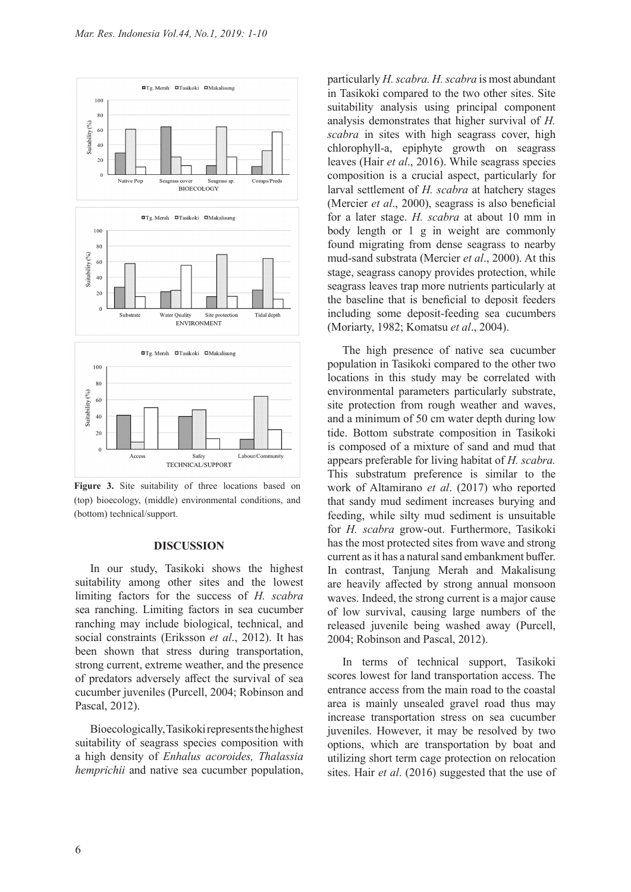

Figure 3. Site suitability of three locations based on (top) bioecology, (middle) environmental conditions, and (bottom) technical/support.

#### **DISCUSSION**

In our study, Tasikoki shows the highest suitability among other sites and the lowest limiting factors for the success of *H. scabra*  sea ranching. Limiting factors in sea cucumber ranching may include biological, technical, and social constraints (Eriksson *et al*., 2012). It has been shown that stress during transportation, strong current, extreme weather, and the presence of predators adversely affect the survival of sea cucumber juveniles (Purcell, 2004; Robinson and Pascal, 2012).

Bioecologically, Tasikoki represents the highest suitability of seagrass species composition with a high density of *Enhalus acoroides, Thalassia hemprichii* and native sea cucumber population,

particularly *H. scabra. H. scabra* is most abundant in Tasikoki compared to the two other sites. Site suitability analysis using principal component analysis demonstrates that higher survival of *H. scabra* in sites with high seagrass cover, high chlorophyll-a, epiphyte growth on seagrass leaves (Hair *et al*., 2016). While seagrass species composition is a crucial aspect, particularly for larval settlement of *H. scabra* at hatchery stages (Mercier *et al*., 2000), seagrass is also beneficial for a later stage. *H. scabra* at about 10 mm in body length or 1 g in weight are commonly found migrating from dense seagrass to nearby mud-sand substrata (Mercier *et al*., 2000). At this stage, seagrass canopy provides protection, while seagrass leaves trap more nutrients particularly at the baseline that is beneficial to deposit feeders including some deposit-feeding sea cucumbers (Moriarty, 1982; Komatsu *et al*., 2004).

The high presence of native sea cucumber population in Tasikoki compared to the other two locations in this study may be correlated with environmental parameters particularly substrate, site protection from rough weather and waves, and a minimum of 50 cm water depth during low tide. Bottom substrate composition in Tasikoki is composed of a mixture of sand and mud that appears preferable for living habitat of *H. scabra.*  This substratum preference is similar to the work of Altamirano *et al*. (2017) who reported that sandy mud sediment increases burying and feeding, while silty mud sediment is unsuitable for *H. scabra* grow-out. Furthermore, Tasikoki has the most protected sites from wave and strong current as it has a natural sand embankment buffer. In contrast, Tanjung Merah and Makalisung are heavily affected by strong annual monsoon waves. Indeed, the strong current is a major cause of low survival, causing large numbers of the released juvenile being washed away (Purcell, 2004; Robinson and Pascal, 2012).

In terms of technical support, Tasikoki scores lowest for land transportation access. The entrance access from the main road to the coastal area is mainly unsealed gravel road thus may increase transportation stress on sea cucumber juveniles. However, it may be resolved by two options, which are transportation by boat and utilizing short term cage protection on relocation sites. Hair *et al*. (2016) suggested that the use of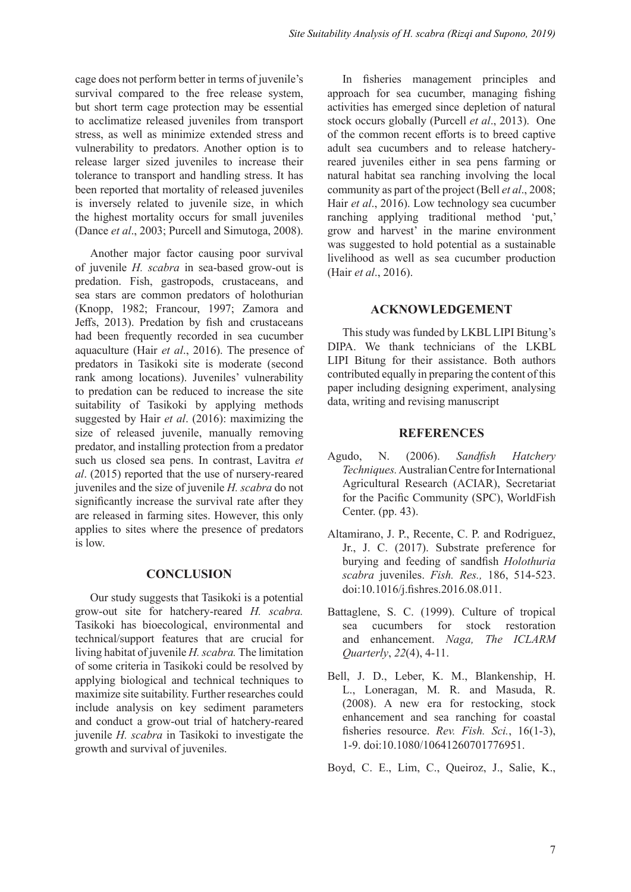cage does not perform better in terms of juvenile's survival compared to the free release system, but short term cage protection may be essential to acclimatize released juveniles from transport stress, as well as minimize extended stress and vulnerability to predators. Another option is to release larger sized juveniles to increase their tolerance to transport and handling stress. It has been reported that mortality of released juveniles is inversely related to juvenile size, in which the highest mortality occurs for small juveniles (Dance *et al*., 2003; Purcell and Simutoga, 2008).

Another major factor causing poor survival of juvenile *H. scabra* in sea-based grow-out is predation. Fish, gastropods, crustaceans, and sea stars are common predators of holothurian (Knopp, 1982; Francour, 1997; Zamora and Jeffs, 2013). Predation by fish and crustaceans had been frequently recorded in sea cucumber aquaculture (Hair *et al*., 2016). The presence of predators in Tasikoki site is moderate (second rank among locations). Juveniles' vulnerability to predation can be reduced to increase the site suitability of Tasikoki by applying methods suggested by Hair *et al*. (2016): maximizing the size of released juvenile, manually removing predator, and installing protection from a predator such us closed sea pens. In contrast, Lavitra *et al*. (2015) reported that the use of nursery-reared juveniles and the size of juvenile *H. scabra* do not significantly increase the survival rate after they are released in farming sites. However, this only applies to sites where the presence of predators is low.

# **CONCLUSION**

Our study suggests that Tasikoki is a potential grow-out site for hatchery-reared *H. scabra.*  Tasikoki has bioecological, environmental and technical/support features that are crucial for living habitat of juvenile *H. scabra.* The limitation of some criteria in Tasikoki could be resolved by applying biological and technical techniques to maximize site suitability. Further researches could include analysis on key sediment parameters and conduct a grow-out trial of hatchery-reared juvenile *H. scabra* in Tasikoki to investigate the growth and survival of juveniles.

In fisheries management principles and approach for sea cucumber, managing fishing activities has emerged since depletion of natural stock occurs globally (Purcell *et al*., 2013). One of the common recent efforts is to breed captive adult sea cucumbers and to release hatcheryreared juveniles either in sea pens farming or natural habitat sea ranching involving the local community as part of the project (Bell *et al*., 2008; Hair *et al*., 2016). Low technology sea cucumber ranching applying traditional method 'put,' grow and harvest' in the marine environment was suggested to hold potential as a sustainable livelihood as well as sea cucumber production (Hair *et al*., 2016).

## **ACKNOWLEDGEMENT**

This study was funded by LKBL LIPI Bitung's DIPA. We thank technicians of the LKBL LIPI Bitung for their assistance. Both authors contributed equally in preparing the content of this paper including designing experiment, analysing data, writing and revising manuscript

## **REFERENCES**

- Agudo, N. (2006). *Sandfish Hatchery Techniques.*Australian Centre for International Agricultural Research (ACIAR), Secretariat for the Pacific Community (SPC), WorldFish Center. (pp. 43).
- Altamirano, J. P., Recente, C. P. and Rodriguez, Jr., J. C. (2017). Substrate preference for burying and feeding of sandfish *Holothuria scabra* juveniles. *Fish. Res.,* 186, 514-523. doi:10.1016/j.fishres.2016.08.011.
- Battaglene, S. C. (1999). Culture of tropical sea cucumbers for stock restoration and enhancement. *Naga, The ICLARM Quarterly*, *22*(4), 4-11.
- Bell, J. D., Leber, K. M., Blankenship, H. L., Loneragan, M. R. and Masuda, R. (2008). A new era for restocking, stock enhancement and sea ranching for coastal fisheries resource. *Rev. Fish. Sci.*, 16(1-3), 1-9. doi:10.1080/10641260701776951.

Boyd, C. E., Lim, C., Queiroz, J., Salie, K.,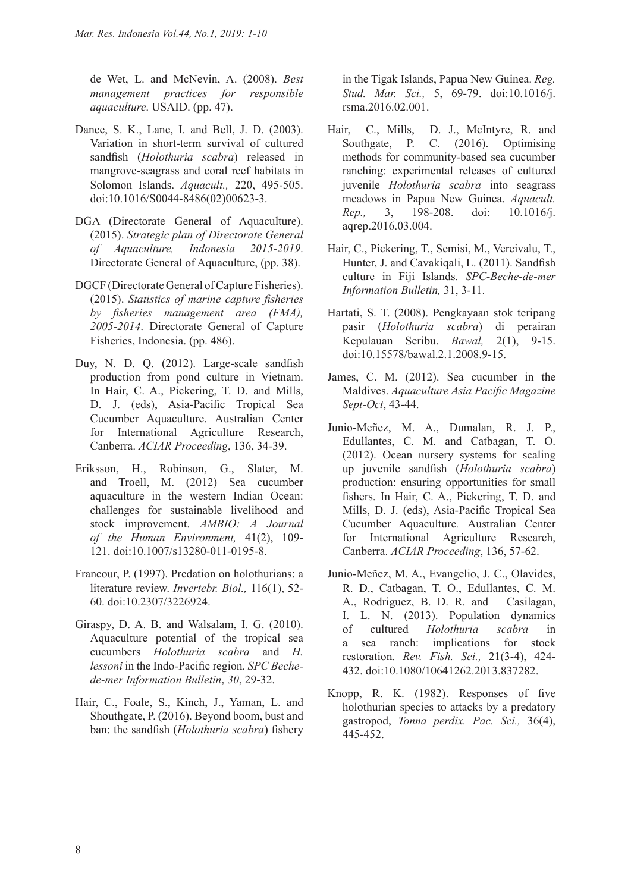de Wet, L. and McNevin, A. (2008). *Best management practices for responsible aquaculture*. USAID. (pp. 47).

- Dance, S. K., Lane, I. and Bell, J. D. (2003). Variation in short-term survival of cultured sandfish (*Holothuria scabra*) released in mangrove-seagrass and coral reef habitats in Solomon Islands. *Aquacult.,* 220, 495-505. doi:10.1016/S0044-8486(02)00623-3.
- DGA (Directorate General of Aquaculture). (2015). *Strategic plan of Directorate General of Aquaculture, Indonesia 2015-2019*. Directorate General of Aquaculture, (pp. 38).
- DGCF (Directorate General of Capture Fisheries). (2015). *Statistics of marine capture fisheries by fisheries management area (FMA), 2005-2014*. Directorate General of Capture Fisheries, Indonesia. (pp. 486).
- Duy, N. D. Q. (2012). Large-scale sandfish production from pond culture in Vietnam. In Hair, C. A., Pickering, T. D. and Mills, D. J. (eds), Asia-Pacific Tropical Sea Cucumber Aquaculture. Australian Center for International Agriculture Research, Canberra. *ACIAR Proceeding*, 136, 34-39.
- Eriksson, H., Robinson, G., Slater, M. and Troell, M. (2012) Sea cucumber aquaculture in the western Indian Ocean: challenges for sustainable livelihood and stock improvement. *AMBIO: A Journal of the Human Environment,* 41(2), 109- 121. doi:10.1007/s13280-011-0195-8.
- Francour, P. (1997). Predation on holothurians: a literature review. *Invertebr. Biol.,* 116(1), 52- 60. doi:10.2307/3226924.
- Giraspy, D. A. B. and Walsalam, I. G. (2010). Aquaculture potential of the tropical sea cucumbers *Holothuria scabra* and *H. lessoni* in the Indo-Pacific region. *SPC Bechede-mer Information Bulletin*, *30*, 29-32.
- Hair, C., Foale, S., Kinch, J., Yaman, L. and Shouthgate, P. (2016). Beyond boom, bust and ban: the sandfish (*Holothuria scabra*) fishery

in the Tigak Islands, Papua New Guinea. *Reg. Stud. Mar. Sci.,* 5, 69-79. doi:10.1016/j. rsma.2016.02.001.

- Hair, C., Mills, D. J., McIntyre, R. and Southgate, P. C. (2016). Optimising methods for community-based sea cucumber ranching: experimental releases of cultured juvenile *Holothuria scabra* into seagrass meadows in Papua New Guinea. *Aquacult. Rep.,* 3, 198-208. doi: 10.1016/j. aqrep.2016.03.004.
- Hair, C., Pickering, T., Semisi, M., Vereivalu, T., Hunter, J. and Cavakiqali, L. (2011). Sandfish culture in Fiji Islands. *SPC-Beche-de-mer Information Bulletin,* 31, 3-11.
- Hartati, S. T. (2008). Pengkayaan stok teripang pasir (*Holothuria scabra*) di perairan Kepulauan Seribu. *Bawal,* 2(1), 9-15. doi:10.15578/bawal.2.1.2008.9-15.
- James, C. M. (2012). Sea cucumber in the Maldives. *Aquaculture Asia Pacific Magazine Sept-Oct*, 43-44.
- Junio-Meñez, M. A., Dumalan, R. J. P., Edullantes, C. M. and Catbagan, T. O. (2012). Ocean nursery systems for scaling up juvenile sandfish (*Holothuria scabra*) production: ensuring opportunities for small fishers. In Hair, C. A., Pickering, T. D. and Mills, D. J. (eds), Asia-Pacific Tropical Sea Cucumber Aquaculture*.* Australian Center for International Agriculture Research, Canberra. *ACIAR Proceeding*, 136, 57-62.
- Junio-Meñez, M. A., Evangelio, J. C., Olavides, R. D., Catbagan, T. O., Edullantes, C. M. A., Rodriguez, B. D. R. and Casilagan, I. L. N. (2013). Population dynamics of cultured *Holothuria scabra* in a sea ranch: implications for stock restoration. *Rev. Fish. Sci.,* 21(3-4), 424- 432. doi:10.1080/10641262.2013.837282.
- Knopp, R. K. (1982). Responses of five holothurian species to attacks by a predatory gastropod, *Tonna perdix. Pac. Sci.,* 36(4), 445-452.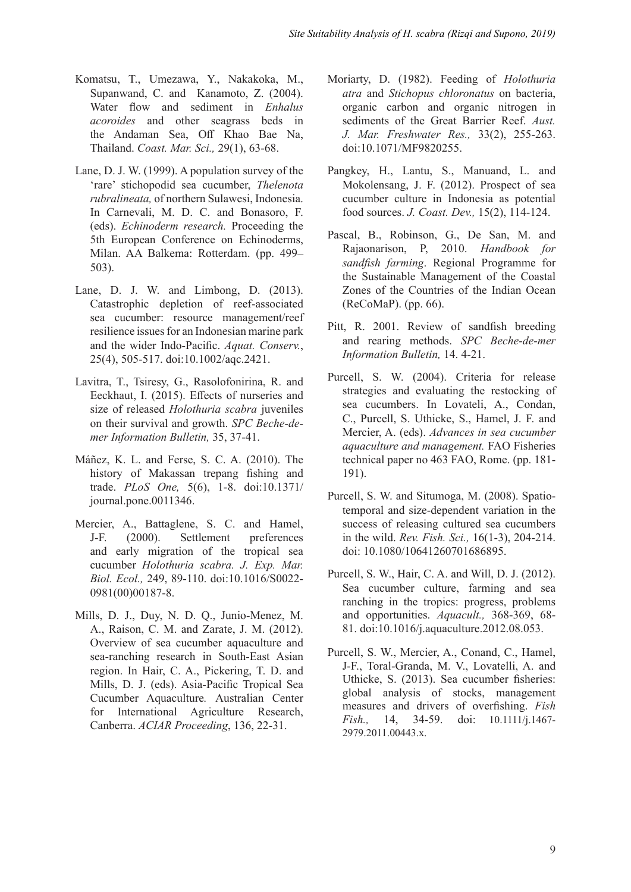- Komatsu, T., Umezawa, Y., Nakakoka, M., Supanwand, C. and Kanamoto, Z. (2004). Water flow and sediment in *Enhalus acoroides* and other seagrass beds in the Andaman Sea, Off Khao Bae Na, Thailand. *Coast. Mar. Sci.,* 29(1), 63-68.
- Lane, D. J. W. (1999). A population survey of the 'rare' stichopodid sea cucumber, *Thelenota rubralineata,* of northern Sulawesi, Indonesia. In Carnevali, M. D. C. and Bonasoro, F. (eds). *Echinoderm research.* Proceeding the 5th European Conference on Echinoderms, Milan. AA Balkema: Rotterdam. (pp. 499– 503).
- Lane, D. J. W. and Limbong, D. (2013). Catastrophic depletion of reef-associated sea cucumber: resource management/reef resilience issues for an Indonesian marine park and the wider Indo-Pacific. *Aquat. Conserv.*, 25(4), 505-517. doi:10.1002/aqc.2421.
- Lavitra, T., Tsiresy, G., Rasolofonirina, R. and Eeckhaut, I. (2015). Effects of nurseries and size of released *Holothuria scabra* juveniles on their survival and growth. *SPC Beche-demer Information Bulletin,* 35, 37-41.
- Máñez, K. L. and Ferse, S. C. A. (2010). The history of Makassan trepang fishing and trade. *PLoS One,* 5(6), 1-8. doi:10.1371/ journal.pone.0011346.
- Mercier, A., Battaglene, S. C. and Hamel, J-F. (2000). Settlement preferences and early migration of the tropical sea cucumber *Holothuria scabra. J. Exp. Mar. Biol. Ecol.,* 249, 89-110. doi:10.1016/S0022- 0981(00)00187-8.
- Mills, D. J., Duy, N. D. Q., Junio-Menez, M. A., Raison, C. M. and Zarate, J. M. (2012). Overview of sea cucumber aquaculture and sea-ranching research in South-East Asian region. In Hair, C. A., Pickering, T. D. and Mills, D. J. (eds). Asia-Pacific Tropical Sea Cucumber Aquaculture*.* Australian Center for International Agriculture Research, Canberra. *ACIAR Proceeding*, 136, 22-31.
- Moriarty, D. (1982). Feeding of *Holothuria atra* and *Stichopus chloronatus* on bacteria, organic carbon and organic nitrogen in sediments of the Great Barrier Reef. *Aust. J. Mar. Freshwater Res.,* 33(2), 255-263. doi:10.1071/MF9820255.
- Pangkey, H., Lantu, S., Manuand, L. and Mokolensang, J. F. (2012). Prospect of sea cucumber culture in Indonesia as potential food sources. *J. Coast. Dev.,* 15(2), 114-124.
- Pascal, B., Robinson, G., De San, M. and Rajaonarison, P, 2010. *Handbook for sandfish farming*. Regional Programme for the Sustainable Management of the Coastal Zones of the Countries of the Indian Ocean (ReCoMaP). (pp. 66).
- Pitt, R. 2001. Review of sandfish breeding and rearing methods. *SPC Beche-de-mer Information Bulletin,* 14. 4-21.
- Purcell, S. W. (2004). Criteria for release strategies and evaluating the restocking of sea cucumbers. In Lovateli, A., Condan, C., Purcell, S. Uthicke, S., Hamel, J. F. and Mercier, A. (eds). *Advances in sea cucumber aquaculture and management.* FAO Fisheries technical paper no 463 FAO, Rome. (pp. 181- 191).
- Purcell, S. W. and Situmoga, M. (2008). Spatiotemporal and size-dependent variation in the success of releasing cultured sea cucumbers in the wild. *Rev. Fish. Sci.,* 16(1-3), 204-214. doi: 10.1080/10641260701686895.
- Purcell, S. W., Hair, C. A. and Will, D. J. (2012). Sea cucumber culture, farming and sea ranching in the tropics: progress, problems and opportunities. *Aquacult.,* 368-369, 68- 81. doi:10.1016/j.aquaculture.2012.08.053.
- Purcell, S. W., Mercier, A., Conand, C., Hamel, J-F., Toral-Granda, M. V., Lovatelli, A. and Uthicke, S. (2013). Sea cucumber fisheries: global analysis of stocks, management measures and drivers of overfishing. *Fish Fish.,* 14, 34-59. doi: 10.1111/j.1467- 2979.2011.00443.x.